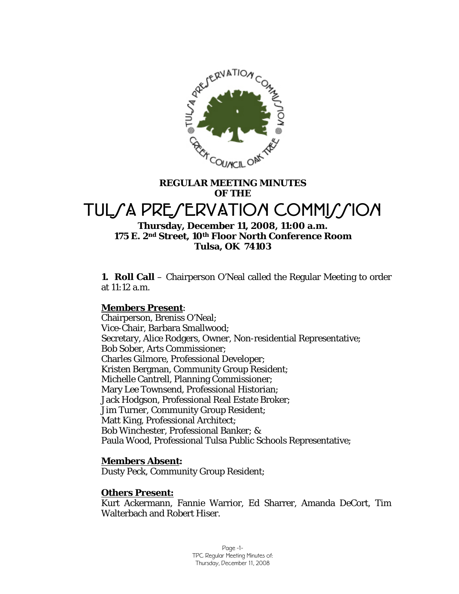

# **REGULAR MEETING MINUTES OF THE**  TUL*SA PRESERVATION COMMISSION*

# **Thursday, December 11, 2008, 11:00 a.m. 175 E. 2nd Street, 10th Floor North Conference Room Tulsa, OK 74103**

**1. Roll Call** – Chairperson O'Neal called the Regular Meeting to order at 11:12 a.m.

# **Members Present:**

Chairperson, Breniss O'Neal; Vice-Chair, Barbara Smallwood; Secretary, Alice Rodgers, Owner, Non-residential Representative; Bob Sober, Arts Commissioner; Charles Gilmore, Professional Developer; Kristen Bergman, Community Group Resident; Michelle Cantrell, Planning Commissioner; Mary Lee Townsend, Professional Historian; Jack Hodgson, Professional Real Estate Broker; Jim Turner, Community Group Resident; Matt King, Professional Architect; Bob Winchester, Professional Banker; & Paula Wood, Professional Tulsa Public Schools Representative;

# **Members Absent:**

Dusty Peck, Community Group Resident;

# **Others Present:**

Kurt Ackermann, Fannie Warrior, Ed Sharrer, Amanda DeCort, Tim Walterbach and Robert Hiser.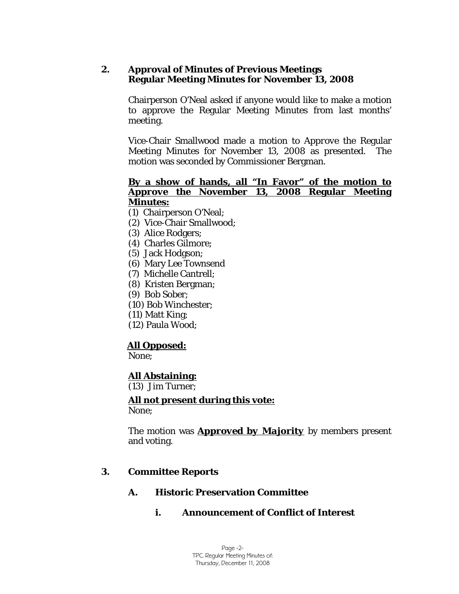# **2. Approval of Minutes of Previous Meetings Regular Meeting Minutes for November 13, 2008**

Chairperson O'Neal asked if anyone would like to make a motion to approve the Regular Meeting Minutes from last months' meeting.

Vice-Chair Smallwood made a motion to *Approve* the Regular Meeting Minutes for November 13, 2008 as presented. The motion was seconded by Commissioner Bergman.

### <sup>U</sup>**By a show of hands, all "In Favor" of the motion to**  *Approve* **the November 13, 2008 Regular Meeting Minutes:**

- (1) Chairperson O'Neal;
- (2) Vice-Chair Smallwood;
- (3) Alice Rodgers;
- (4) Charles Gilmore;
- (5) Jack Hodgson;
- (6) Mary Lee Townsend
- (7) Michelle Cantrell;
- (8) Kristen Bergman;
- (9) Bob Sober;
- (10) Bob Winchester;
- (11) Matt King;
- (12) Paula Wood;

# <sup>U</sup>**All Opposed:**

None;

# <sup>U</sup>**All Abstaining:**

(13) Jim Turner;

# <sup>U</sup>**All not present during this vote:**

None;

The motion was **Approved by Majority** by members present and voting.

# **3. Committee Reports**

# **A. Historic Preservation Committee**

# **i. Announcement of Conflict of Interest**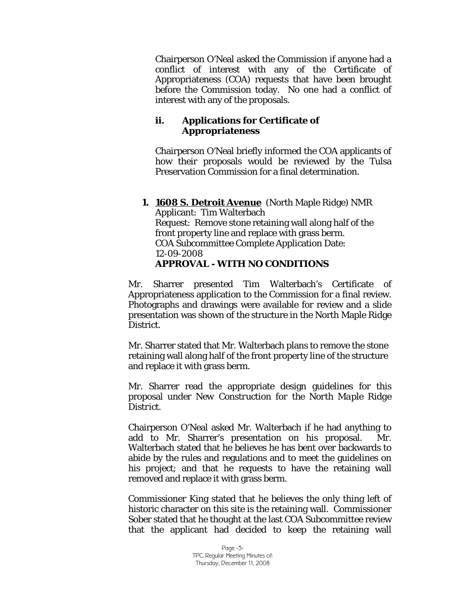Chairperson O'Neal asked the Commission if anyone had a conflict of interest with any of the Certificate of Appropriateness (COA) requests that have been brought before the Commission today. No one had a conflict of interest with any of the proposals.

# **ii. Applications for Certificate of Appropriateness**

Chairperson O'Neal briefly informed the COA applicants of how their proposals would be reviewed by the Tulsa Preservation Commission for a final determination.

# **1. 1608 S. Detroit Avenue** (North Maple Ridge) NMR Applicant: Tim Walterbach

Request: Remove stone retaining wall along half of the front property line and replace with grass berm. COA Subcommittee Complete Application Date: 12-09-2008 *APPROVAL - WITH NO CONDITIONS* 

Mr. Sharrer presented Tim Walterbach's Certificate of Appropriateness application to the Commission for a final review. Photographs and drawings were available for review and a slide presentation was shown of the structure in the North Maple Ridge District.

Mr. Sharrer stated that Mr. Walterbach plans to remove the stone retaining wall along half of the front property line of the structure and replace it with grass berm.

Mr. Sharrer read the appropriate design guidelines for this proposal under *New Construction for the North Maple Ridge District.* 

Chairperson O'Neal asked Mr. Walterbach if he had anything to add to Mr. Sharrer's presentation on his proposal. Mr. Walterbach stated that he believes he has bent over backwards to abide by the rules and regulations and to meet the guidelines on his project; and that he requests to have the retaining wall removed and replace it with grass berm.

Commissioner King stated that he believes the only thing left of historic character on this site is the retaining wall. Commissioner Sober stated that he thought at the last COA Subcommittee review that the applicant had decided to keep the retaining wall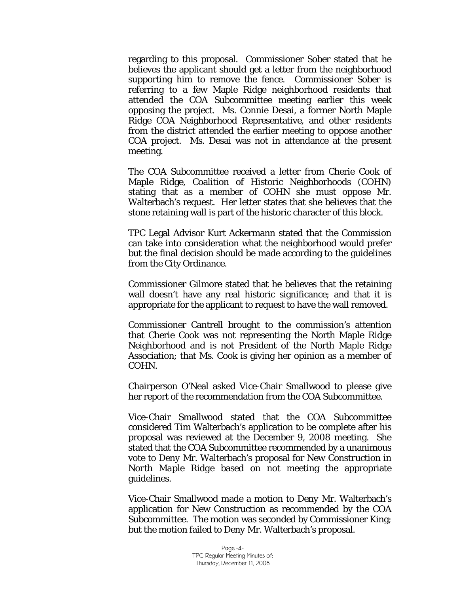regarding to this proposal. Commissioner Sober stated that he believes the applicant should get a letter from the neighborhood supporting him to remove the fence. Commissioner Sober is referring to a few Maple Ridge neighborhood residents that attended the COA Subcommittee meeting earlier this week opposing the project. Ms. Connie Desai, a former North Maple Ridge COA Neighborhood Representative, and other residents from the district attended the earlier meeting to oppose another COA project. Ms. Desai was not in attendance at the present meeting.

The COA Subcommittee received a letter from Cherie Cook of Maple Ridge, Coalition of Historic Neighborhoods (COHN) stating that as a member of COHN she must oppose Mr. Walterbach's request. Her letter states that she believes that the stone retaining wall is part of the historic character of this block.

TPC Legal Advisor Kurt Ackermann stated that the Commission can take into consideration what the neighborhood would prefer but the final decision should be made according to the guidelines from the City Ordinance.

Commissioner Gilmore stated that he believes that the retaining wall doesn't have any real historic significance; and that it is appropriate for the applicant to request to have the wall removed.

Commissioner Cantrell brought to the commission's attention that Cherie Cook was not representing the North Maple Ridge Neighborhood and is not President of the North Maple Ridge Association; that Ms. Cook is giving her opinion as a member of COHN.

Chairperson O'Neal asked Vice-Chair Smallwood to please give her report of the recommendation from the COA Subcommittee.

Vice-Chair Smallwood stated that the COA Subcommittee considered Tim Walterbach's application to be complete after his proposal was reviewed at the December 9, 2008 meeting. She stated that the COA Subcommittee recommended by a unanimous vote to *Deny* Mr. Walterbach's proposal for *New Construction in North Maple Ridge* based on not meeting the appropriate guidelines.

Vice-Chair Smallwood made a motion to *Deny* Mr. Walterbach's application for New Construction as recommended by the COA Subcommittee. The motion was seconded by Commissioner King; but the motion failed to *Deny* Mr. Walterbach's proposal.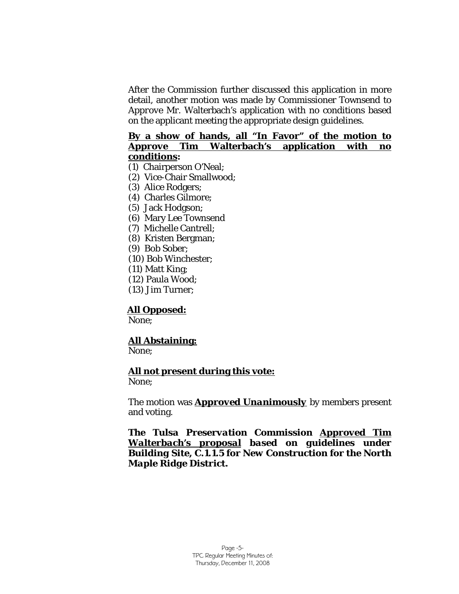After the Commission further discussed this application in more detail, another motion was made by Commissioner Townsend to *Approve* Mr. Walterbach's application with no conditions based on the applicant meeting the appropriate design guidelines.

#### <sup>U</sup>**By a show of hands, all "In Favor" of the motion to**  *Approve* **Tim Walterbach's application with no**  $\mathbf{conditions:}$

- (1) Chairperson O'Neal;
- (2) Vice-Chair Smallwood;
- (3) Alice Rodgers;
- (4) Charles Gilmore;
- (5) Jack Hodgson;
- (6) Mary Lee Townsend
- (7) Michelle Cantrell;
- (8) Kristen Bergman;
- (9) Bob Sober;
- (10) Bob Winchester;
- (11) Matt King;
- (12) Paula Wood;
- (13) Jim Turner;

# All Opposed:

None;

# <sup>U</sup>**All Abstaining:**

None;

# <sup>U</sup>**All not present during this vote:**

None;

The motion was **Approved Unanimously** by members present and voting.

**The Tulsa Preservation Commission Approved Tim** *Walterbach's proposal*U *based on guidelines under Building Site, C.1.1.5 for New Construction for the North Maple Ridge District.*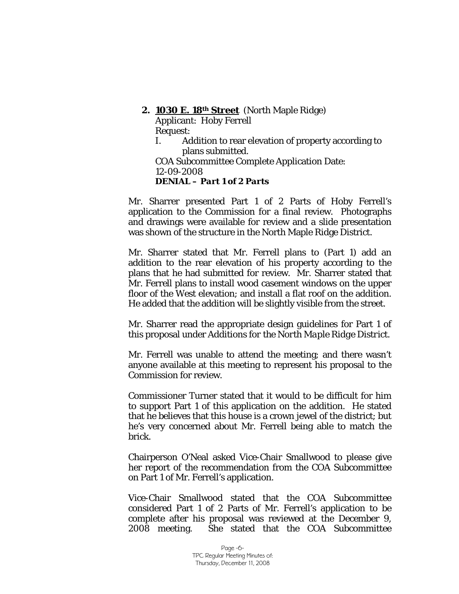# **2. 1030 E. 18th Street** (North Maple Ridge) Applicant: Hoby Ferrell Request: I. Addition to rear elevation of property according to

plans submitted. COA Subcommittee Complete Application Date: 12-09-2008 *DENIAL – Part 1 of 2 Parts* 

Mr. Sharrer presented Part 1 of 2 Parts of Hoby Ferrell's application to the Commission for a final review. Photographs and drawings were available for review and a slide presentation was shown of the structure in the North Maple Ridge District.

Mr. Sharrer stated that Mr. Ferrell plans to (Part 1) add an addition to the rear elevation of his property according to the plans that he had submitted for review. Mr. Sharrer stated that Mr. Ferrell plans to install wood casement windows on the upper floor of the West elevation; and install a flat roof on the addition. He added that the addition will be slightly visible from the street.

Mr. Sharrer read the appropriate design guidelines for Part 1 of this proposal under *Additions for the North Maple Ridge District.* 

Mr. Ferrell was unable to attend the meeting; and there wasn't anyone available at this meeting to represent his proposal to the Commission for review.

Commissioner Turner stated that it would to be difficult for him to support Part 1 of this application on the addition. He stated that he believes that this house is a crown jewel of the district; but he's very concerned about Mr. Ferrell being able to match the brick.

Chairperson O'Neal asked Vice-Chair Smallwood to please give her report of the recommendation from the COA Subcommittee on Part 1 of Mr. Ferrell's application.

Vice-Chair Smallwood stated that the COA Subcommittee considered Part 1 of 2 Parts of Mr. Ferrell's application to be complete after his proposal was reviewed at the December 9, 2008 meeting. She stated that the COA Subcommittee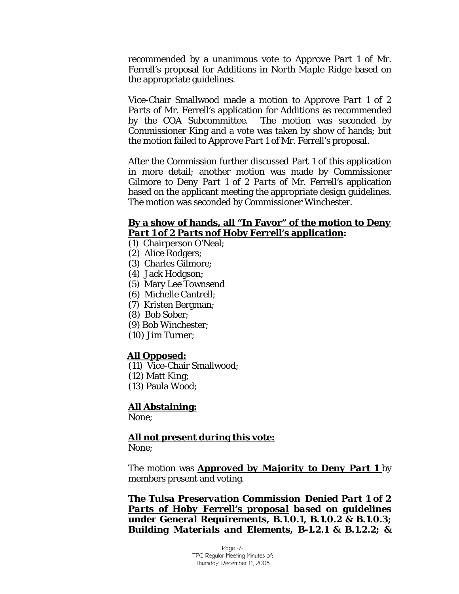recommended by a unanimous vote to *Approve Part 1* of Mr. Ferrell's proposal for *Additions in North Maple Ridge* based on the appropriate guidelines.

Vice-Chair Smallwood made a motion to *Approve Part 1 of 2 Parts of* Mr. Ferrell's application for Additions as recommended by the COA Subcommittee. The motion was seconded by Commissioner King and a vote was taken by show of hands; but the motion failed to *Approve Part 1* of Mr. Ferrell's proposal.

After the Commission further discussed Part 1 of this application in more detail; another motion was made by Commissioner Gilmore to *Deny Part 1 of 2 Parts* of Mr. Ferrell's application based on the applicant meeting the appropriate design guidelines. The motion was seconded by Commissioner Winchester.

#### <sup>U</sup>**By a show of hands, all "In Favor" of the motion to** *Deny Part 1 of 2 Parts nof Hoby Ferrell's application:*

(1) Chairperson O'Neal;

- (2) Alice Rodgers;
- (3) Charles Gilmore;
- (4) Jack Hodgson;
- (5) Mary Lee Townsend
- (6) Michelle Cantrell;
- (7) Kristen Bergman;
- (8) Bob Sober;
- (9) Bob Winchester;
- (10) Jim Turner;

#### All Opposed:

- (11) Vice-Chair Smallwood;
- (12) Matt King;
- (13) Paula Wood;

# <sup>U</sup>**All Abstaining:**

None;

# <sup>U</sup>**All not present during this vote:**

None;

The motion was *Approved by Majority to Deny Part 1* by members present and voting.

*The Tulsa Preservation Commission Denied Part 1 of 2*  **Parts of Hoby Ferrell's proposal based on guidelines** *under General Requirements, B.1.0.1, B.1.0.2 & B.1.0.3; Building Materials and Elements, B-1.2.1 & B.1.2.2; &*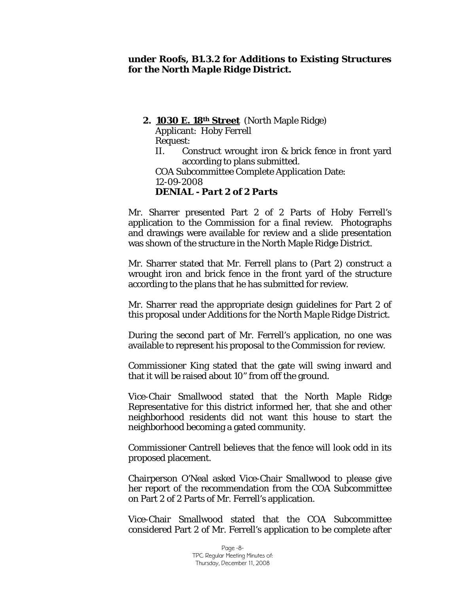### *under Roofs, B1.3.2 for Additions to Existing Structures for the North Maple Ridge District.*

### **2. 1030 E. 18th Street** (North Maple Ridge)

Applicant: Hoby Ferrell

Request:

II. Construct wrought iron & brick fence in front yard according to plans submitted.

COA Subcommittee Complete Application Date: 12-09-2008 *DENIAL - Part 2 of 2 Parts* 

Mr. Sharrer presented Part 2 of 2 Parts of Hoby Ferrell's application to the Commission for a final review. Photographs and drawings were available for review and a slide presentation was shown of the structure in the North Maple Ridge District.

Mr. Sharrer stated that Mr. Ferrell plans to (Part 2) construct a wrought iron and brick fence in the front yard of the structure according to the plans that he has submitted for review.

Mr. Sharrer read the appropriate design guidelines for Part 2 of this proposal under *Additions for the North Maple Ridge District.* 

During the second part of Mr. Ferrell's application, no one was available to represent his proposal to the Commission for review.

Commissioner King stated that the gate will swing inward and that it will be raised about 10" from off the ground.

Vice-Chair Smallwood stated that the North Maple Ridge Representative for this district informed her, that she and other neighborhood residents did not want this house to start the neighborhood becoming a gated community.

Commissioner Cantrell believes that the fence will look odd in its proposed placement.

Chairperson O'Neal asked Vice-Chair Smallwood to please give her report of the recommendation from the COA Subcommittee on Part 2 of 2 Parts of Mr. Ferrell's application.

Vice-Chair Smallwood stated that the COA Subcommittee considered Part 2 of Mr. Ferrell's application to be complete after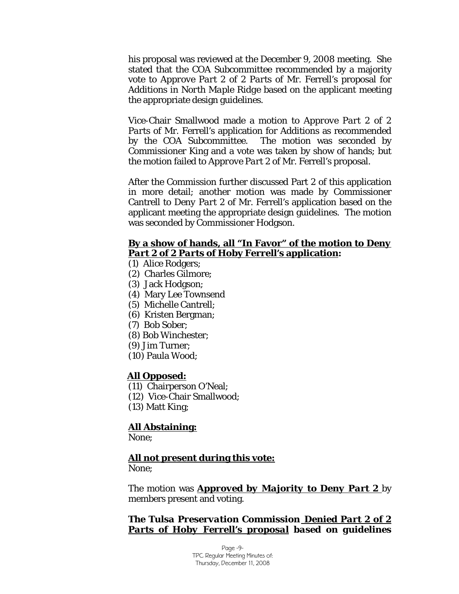his proposal was reviewed at the December 9, 2008 meeting. She stated that the COA Subcommittee recommended by a majority vote to *Approve Part 2 of 2 Parts* of Mr. Ferrell's proposal for *Additions in North Maple Ridge* based on the applicant meeting the appropriate design guidelines.

Vice-Chair Smallwood made a motion to *Approve Part 2 of 2 Parts* of Mr. Ferrell's application for Additions as recommended by the COA Subcommittee. The motion was seconded by Commissioner King and a vote was taken by show of hands; but the motion failed to *Approve Part 2* of Mr. Ferrell's proposal.

After the Commission further discussed Part 2 of this application in more detail; another motion was made by Commissioner Cantrell to *Deny Part 2* of Mr. Ferrell's application based on the applicant meeting the appropriate design guidelines. The motion was seconded by Commissioner Hodgson.

### <sup>U</sup>**By a show of hands, all "In Favor" of the motion to** *Deny <u>Part 2 of 2 Parts* of Hoby Ferrell's application:</u>

- (1) Alice Rodgers;
- (2) Charles Gilmore;
- (3) Jack Hodgson;
- (4) Mary Lee Townsend
- (5) Michelle Cantrell;
- (6) Kristen Bergman;
- (7) Bob Sober;
- (8) Bob Winchester;
- (9) Jim Turner;
- (10) Paula Wood;

#### All Opposed:

- (11) Chairperson O'Neal;
- (12) Vice-Chair Smallwood;
- (13) Matt King;

#### <sup>U</sup>**All Abstaining:**

None;

#### <sup>U</sup>**All not present during this vote:**

None;

The motion was *Approved by Majority to Deny Part 2* by members present and voting.

*The Tulsa Preservation Commission Denied Part 2 of 2*  **Parts of Hoby Ferrell's proposal based on guidelines** 

> Page -9- TPC Regular Meeting Minutes of: Thursday, December 11, 2008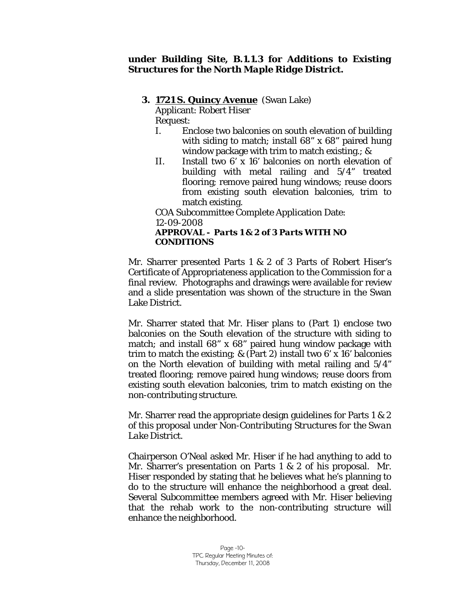### *under Building Site, B.1.1.3 for Additions to Existing Structures for the North Maple Ridge District.*

# **3. 1721 S. Quincy Avenue** (Swan Lake)

Applicant: Robert Hiser

Request:

- I. Enclose two balconies on south elevation of building with siding to match; install 68" x 68" paired hung window package with trim to match existing.; &
- II. Install two 6' x 16' balconies on north elevation of building with metal railing and 5/4" treated flooring; remove paired hung windows; reuse doors from existing south elevation balconies, trim to match existing.

COA Subcommittee Complete Application Date:

12-09-2008

# *APPROVAL - Parts 1 & 2 of 3 Parts WITH NO CONDITIONS*

Mr. Sharrer presented Parts 1 & 2 of 3 Parts of Robert Hiser's Certificate of Appropriateness application to the Commission for a final review. Photographs and drawings were available for review and a slide presentation was shown of the structure in the Swan Lake District.

Mr. Sharrer stated that Mr. Hiser plans to (Part 1) enclose two balconies on the South elevation of the structure with siding to match; and install 68" x 68" paired hung window package with trim to match the existing; & (Part 2) install two 6' x 16' balconies on the North elevation of building with metal railing and 5/4" treated flooring; remove paired hung windows; reuse doors from existing south elevation balconies, trim to match existing on the non-contributing structure.

Mr. Sharrer read the appropriate design guidelines for Parts 1 & 2 of this proposal under *Non-Contributing Structures for the Swan Lake District.* 

Chairperson O'Neal asked Mr. Hiser if he had anything to add to Mr. Sharrer's presentation on Parts 1 & 2 of his proposal. Mr. Hiser responded by stating that he believes what he's planning to do to the structure will enhance the neighborhood a great deal. Several Subcommittee members agreed with Mr. Hiser believing that the rehab work to the non-contributing structure will enhance the neighborhood.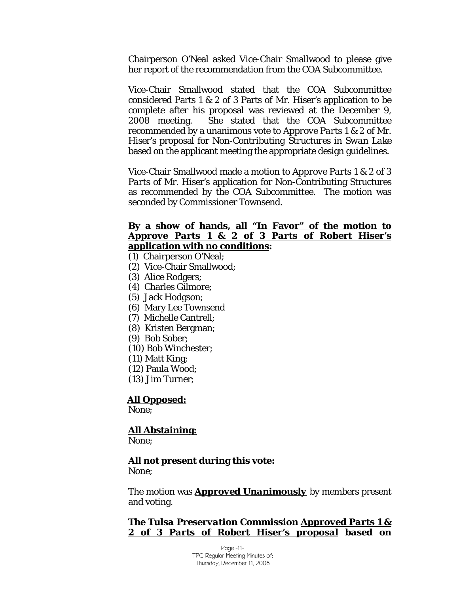Chairperson O'Neal asked Vice-Chair Smallwood to please give her report of the recommendation from the COA Subcommittee.

Vice-Chair Smallwood stated that the COA Subcommittee considered Parts 1 & 2 of 3 Parts of Mr. Hiser's application to be complete after his proposal was reviewed at the December 9, 2008 meeting. She stated that the COA Subcommittee recommended by a unanimous vote to *Approve Parts 1 & 2 of* Mr. Hiser's proposal for *Non-Contributing Structures in Swan Lake* based on the applicant meeting the appropriate design guidelines.

Vice-Chair Smallwood made a motion to *Approve Parts 1 & 2 of 3 Parts of* Mr. Hiser's application for Non-Contributing Structures as recommended by the COA Subcommittee. The motion was seconded by Commissioner Townsend.

#### <sup>U</sup>**By a show of hands, all "In Favor" of the motion to**  *Approve Parts 1 & 2 of 3 Parts of* **Robert Hiser's application with no conditions:**

- (1) Chairperson O'Neal;
- (2) Vice-Chair Smallwood;
- (3) Alice Rodgers;
- (4) Charles Gilmore;
- (5) Jack Hodgson;
- (6) Mary Lee Townsend
- (7) Michelle Cantrell;
- (8) Kristen Bergman;
- (9) Bob Sober;
- (10) Bob Winchester;
- (11) Matt King;
- (12) Paula Wood;
- (13) Jim Turner;

#### All Opposed:

None;

# <sup>U</sup>**All Abstaining:**

None;

#### <sup>U</sup>**All not present during this vote:**

None;

The motion was *Approved Unanimously* by members present and voting.

**The Tulsa Preservation Commission Approved Parts 1 &** *2 of 3 Parts of Robert Hiser's proposal*U *based on* 

> Page -11- TPC Regular Meeting Minutes of: Thursday, December 11, 2008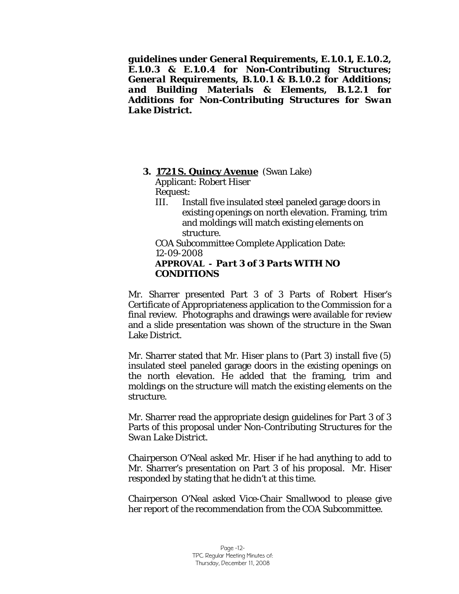*guidelines under General Requirements, E.1.0.1, E.1.0.2, E.1.0.3 & E.1.0.4 for Non-Contributing Structures; General Requirements, B.1.0.1 & B.1.0.2 for Additions; and Building Materials & Elements, B.1.2.1 for Additions for Non-Contributing Structures for Swan Lake District.*

# **3. 1721 S. Quincy Avenue** (Swan Lake)

Applicant: Robert Hiser Request:

III. Install five insulated steel paneled garage doors in existing openings on north elevation. Framing, trim and moldings will match existing elements on structure.

COA Subcommittee Complete Application Date: 12-09-2008 *APPROVAL - Part 3 of 3 Parts WITH NO CONDITIONS* 

Mr. Sharrer presented Part 3 of 3 Parts of Robert Hiser's Certificate of Appropriateness application to the Commission for a final review. Photographs and drawings were available for review and a slide presentation was shown of the structure in the Swan Lake District.

Mr. Sharrer stated that Mr. Hiser plans to (Part 3) install five (5) insulated steel paneled garage doors in the existing openings on the north elevation. He added that the framing, trim and moldings on the structure will match the existing elements on the structure.

Mr. Sharrer read the appropriate design guidelines for Part 3 of 3 Parts of this proposal under *Non-Contributing Structures for the Swan Lake District.* 

Chairperson O'Neal asked Mr. Hiser if he had anything to add to Mr. Sharrer's presentation on Part 3 of his proposal. Mr. Hiser responded by stating that he didn't at this time.

Chairperson O'Neal asked Vice-Chair Smallwood to please give her report of the recommendation from the COA Subcommittee.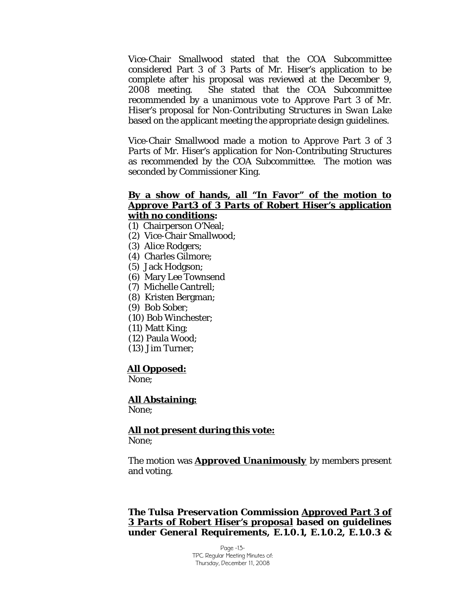Vice-Chair Smallwood stated that the COA Subcommittee considered Part 3 of 3 Parts of Mr. Hiser's application to be complete after his proposal was reviewed at the December 9, 2008 meeting. She stated that the COA Subcommittee recommended by a unanimous vote to *Approve Part 3 of* Mr. Hiser's proposal for *Non-Contributing Structures in Swan Lake* based on the applicant meeting the appropriate design guidelines.

Vice-Chair Smallwood made a motion to *Approve Part 3 of 3 Parts of* Mr. Hiser's application for Non-Contributing Structures as recommended by the COA Subcommittee. The motion was seconded by Commissioner King.

### <sup>U</sup>**By a show of hands, all "In Favor" of the motion to** *Approve Part3 of 3 Parts* **of Robert Hiser's application**   $\boldsymbol{\mathrm{with}}$  no conditions:

- (1) Chairperson O'Neal;
- (2) Vice-Chair Smallwood;
- (3) Alice Rodgers;
- (4) Charles Gilmore;
- (5) Jack Hodgson;
- (6) Mary Lee Townsend
- (7) Michelle Cantrell;
- (8) Kristen Bergman;
- (9) Bob Sober;
- (10) Bob Winchester;
- (11) Matt King;
- (12) Paula Wood;
- (13) Jim Turner;

#### All Opposed:

None;

# **All Abstaining:**

None;

# <sup>U</sup>**All not present during this vote:**

None;

The motion was *Approved Unanimously* by members present and voting.

**The Tulsa Preservation Commission Approved Part 3 of** *3 Parts of Robert Hiser's proposal*U *based on guidelines under General Requirements, E.1.0.1, E.1.0.2, E.1.0.3 &* 

> Page -13- TPC Regular Meeting Minutes of: Thursday, December 11, 2008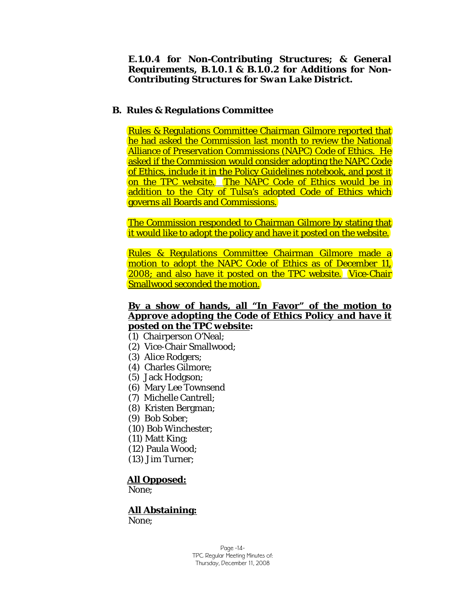*E.1.0.4 for Non-Contributing Structures; & General Requirements, B.1.0.1 & B.1.0.2 for Additions for Non-Contributing Structures for Swan Lake District.*

# **B. Rules & Regulations Committee**

Rules & Regulations Committee Chairman Gilmore reported that he had asked the Commission last month to review the National Alliance of Preservation Commissions (NAPC) Code of Ethics. He asked if the Commission would consider adopting the NAPC Code of Ethics, include it in the Policy Guidelines notebook, and post it on the TPC website. The NAPC Code of Ethics would be in addition to the City of Tulsa's adopted Code of Ethics which governs all Boards and Commissions.

The Commission responded to Chairman Gilmore by stating that it would like to adopt the policy and have it posted on the website.

Rules & Regulations Committee Chairman Gilmore made a motion to adopt the NAPC Code of Ethics as of December 11, 2008; and also have it posted on the TPC website. Vice-Chair Smallwood seconded the motion.

# <sup>U</sup>**By a show of hands, all "In Favor" of the motion to**  *Approve adopting the Code of Ethics Policy and have it*  **posted on the TPC website:**

- (1) Chairperson O'Neal;
- (2) Vice-Chair Smallwood;
- (3) Alice Rodgers;
- (4) Charles Gilmore;
- (5) Jack Hodgson;
- (6) Mary Lee Townsend
- (7) Michelle Cantrell;
- (8) Kristen Bergman;
- (9) Bob Sober;
- (10) Bob Winchester;
- (11) Matt King;
- (12) Paula Wood;
- (13) Jim Turner;

#### All Opposed:

None;

# <sup>U</sup>**All Abstaining:**

None;

Page -14- TPC Regular Meeting Minutes of: Thursday, December 11, 2008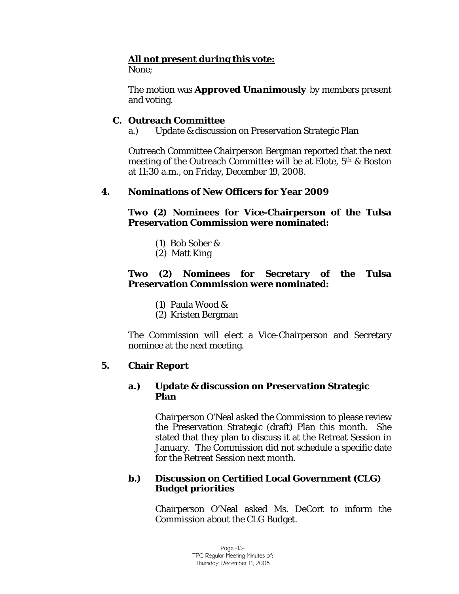# <sup>U</sup>**All not present during this vote:**

None;

The motion was *Approved Unanimously* by members present and voting.

# **C. Outreach Committee**

a.) Update & discussion on Preservation Strategic Plan

Outreach Committee Chairperson Bergman reported that the next meeting of the Outreach Committee will be at Elote, 5th & Boston at 11:30 a.m., on Friday, December 19, 2008.

# **4. Nominations of New Officers for Year 2009**

**Two (2) Nominees for Vice-Chairperson of the Tulsa Preservation Commission were nominated:** 

- (1) Bob Sober &
- (2) Matt King

# **Two (2) Nominees for Secretary of the Tulsa Preservation Commission were nominated:**

- (1) Paula Wood &
- (2) Kristen Bergman

The Commission will elect a Vice-Chairperson and Secretary nominee at the next meeting.

# **5. Chair Report**

# **a.) Update & discussion on Preservation Strategic Plan**

Chairperson O'Neal asked the Commission to please review the Preservation Strategic (draft) Plan this month. She stated that they plan to discuss it at the Retreat Session in January. The Commission did not schedule a specific date for the Retreat Session next month.

# **b.) Discussion on Certified Local Government (CLG) Budget priorities**

Chairperson O'Neal asked Ms. DeCort to inform the Commission about the CLG Budget.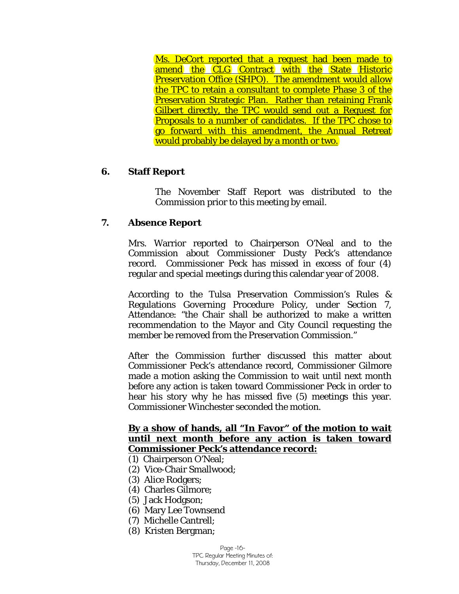Ms. DeCort reported that a request had been made to amend the CLG Contract with the State Historic Preservation Office (SHPO). The amendment would allow the TPC to retain a consultant to complete Phase 3 of the Preservation Strategic Plan. Rather than retaining Frank Gilbert directly, the TPC would send out a Request for Proposals to a number of candidates. If the TPC chose to go forward with this amendment, the Annual Retreat would probably be delayed by a month or two.

# **6. Staff Report**

The November Staff Report was distributed to the Commission prior to this meeting by email.

# **7. Absence Report**

Mrs. Warrior reported to Chairperson O'Neal and to the Commission about Commissioner Dusty Peck's attendance record. Commissioner Peck has missed in excess of four (4) regular and special meetings during this calendar year of 2008.

According to the Tulsa Preservation Commission's Rules & Regulations Governing Procedure Policy, under Section 7, Attendance: "the Chair shall be authorized to make a written recommendation to the Mayor and City Council requesting the member be removed from the Preservation Commission."

After the Commission further discussed this matter about Commissioner Peck's attendance record, Commissioner Gilmore made a motion asking the Commission to wait until next month before any action is taken toward Commissioner Peck in order to hear his story why he has missed five (5) meetings this year. Commissioner Winchester seconded the motion.

# <sup>U</sup>**By a show of hands, all "In Favor" of the motion to wait until next month before any action is taken toward Commissioner Peck's attendance record:**

- (1) Chairperson O'Neal;
- (2) Vice-Chair Smallwood;
- (3) Alice Rodgers;
- (4) Charles Gilmore;
- (5) Jack Hodgson;
- (6) Mary Lee Townsend
- (7) Michelle Cantrell;
- (8) Kristen Bergman;

Page -16- TPC Regular Meeting Minutes of: Thursday, December 11, 2008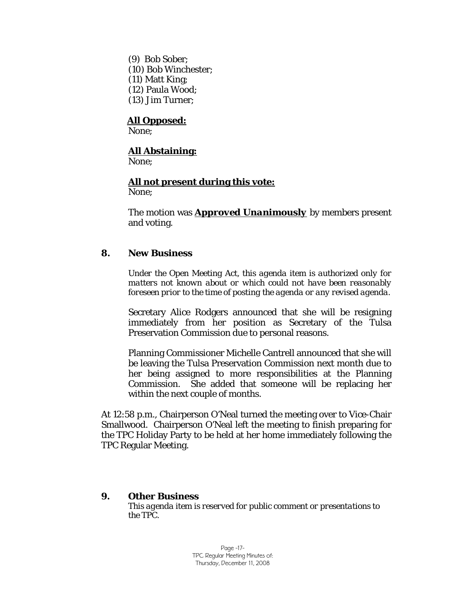(9) Bob Sober; (10) Bob Winchester; (11) Matt King; (12) Paula Wood; (13) Jim Turner;

# <sup>U</sup>**All Opposed:**

None;

# <sup>U</sup>**All Abstaining:**

None;

### <sup>U</sup>**All not present during this vote:**

None;

The motion was *Approved Unanimously* by members present and voting.

# **8. New Business**

*Under the Open Meeting Act, this agenda item is authorized only for matters not known about or which could not have been reasonably foreseen prior to the time of posting the agenda or any revised agenda.* 

Secretary Alice Rodgers announced that she will be resigning immediately from her position as Secretary of the Tulsa Preservation Commission due to personal reasons.

Planning Commissioner Michelle Cantrell announced that she will be leaving the Tulsa Preservation Commission next month due to her being assigned to more responsibilities at the Planning Commission. She added that someone will be replacing her within the next couple of months.

At 12:58 p.m., Chairperson O'Neal turned the meeting over to Vice-Chair Smallwood. Chairperson O'Neal left the meeting to finish preparing for the TPC Holiday Party to be held at her home immediately following the TPC Regular Meeting.

#### **9. Other Business**

*This agenda item is reserved for public comment or presentations to the TPC.*